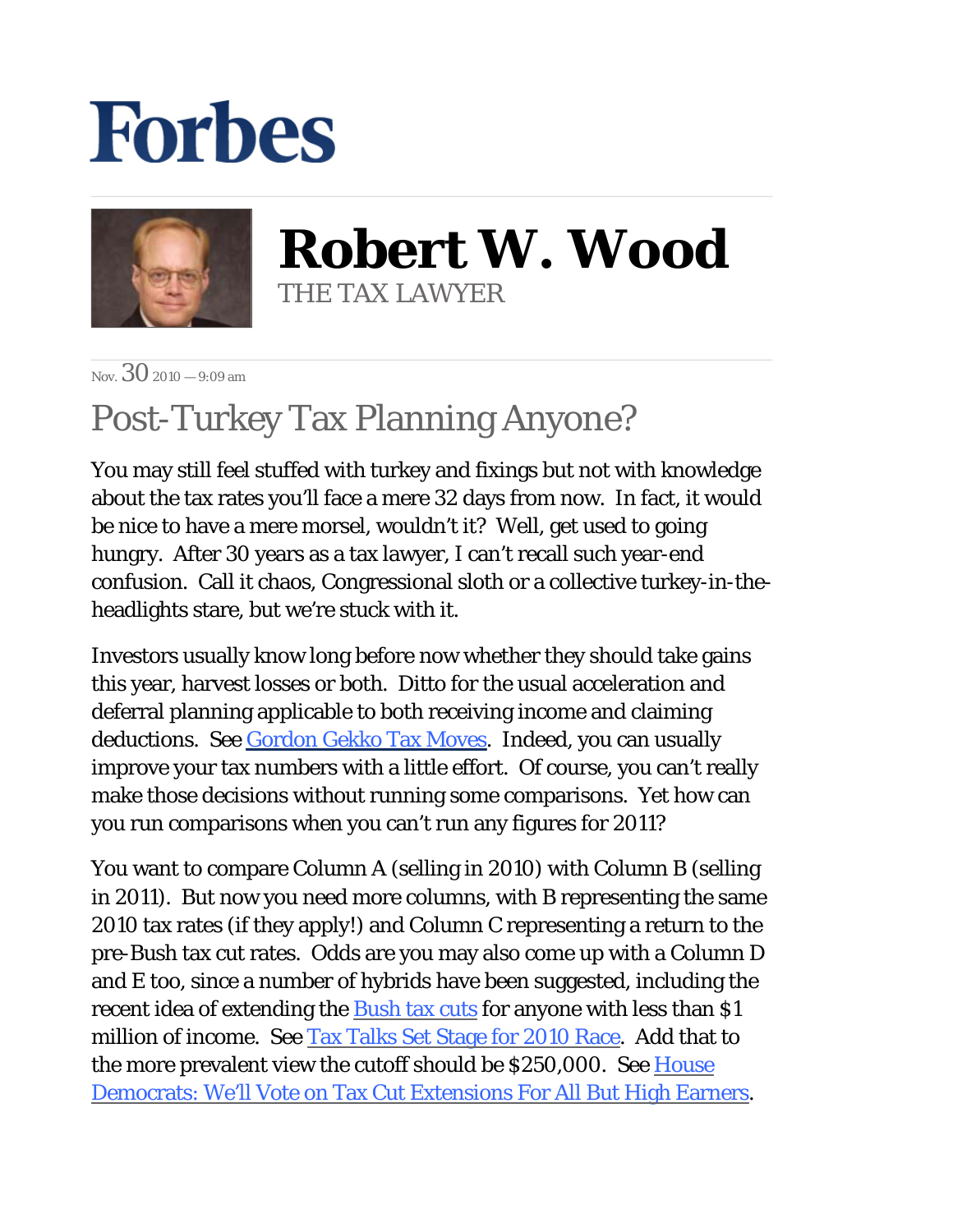## **Forbes**



**Robert W. Wood** THE TAX LAWYER

Nov.  $30_{2010} - 9:09$  am

## Post-Turkey Tax Planning Anyone?

You may still feel stuffed with turkey and fixings but not with knowledge about the tax rates you'll face a mere 32 days from now. In fact, it would be nice to have a mere morsel, wouldn't it? Well, get used to going hungry. After 30 years as a tax lawyer, I can't recall such year-end confusion. Call it chaos, Congressional sloth or a collective turkey-in-theheadlights stare, but we're stuck with it.

Investors usually know long before now whether they should take gains this year, harvest losses or both. Ditto for the usual acceleration and deferral planning applicable to both receiving income and claiming deductions. See [Gordon Gekko Tax Moves](http://blogs.forbes.com/robertwood/2010/09/20/gordon-gekko-tax-moves/). Indeed, you can usually improve your tax numbers with a little effort. Of course, you can't really make those decisions without running some comparisons. Yet how can you run comparisons when you can't run any figures for 2011?

You want to compare Column A (selling in 2010) with Column B (selling in 2011). But now you need more columns, with B representing the same 2010 tax rates (if they apply!) and Column C representing a return to the pre-Bush tax cut rates. Odds are you may also come up with a Column D and E too, since a number of hybrids have been suggested, including the recent idea of extending the **Bush tax cuts** for anyone with less than \$1 million of income. See [Tax Talks Set Stage for 2010 Race](http://online.wsj.com/article/SB10001424052748703945904575644651600579526.html). Add that to the more prevalent view the cutoff should be \$250,000. See House [Democrats: We'll Vote on Tax Cut Extensions For All But High Earners.](http://www.cbsnews.com/8301-503544_162-20023309-503544.html)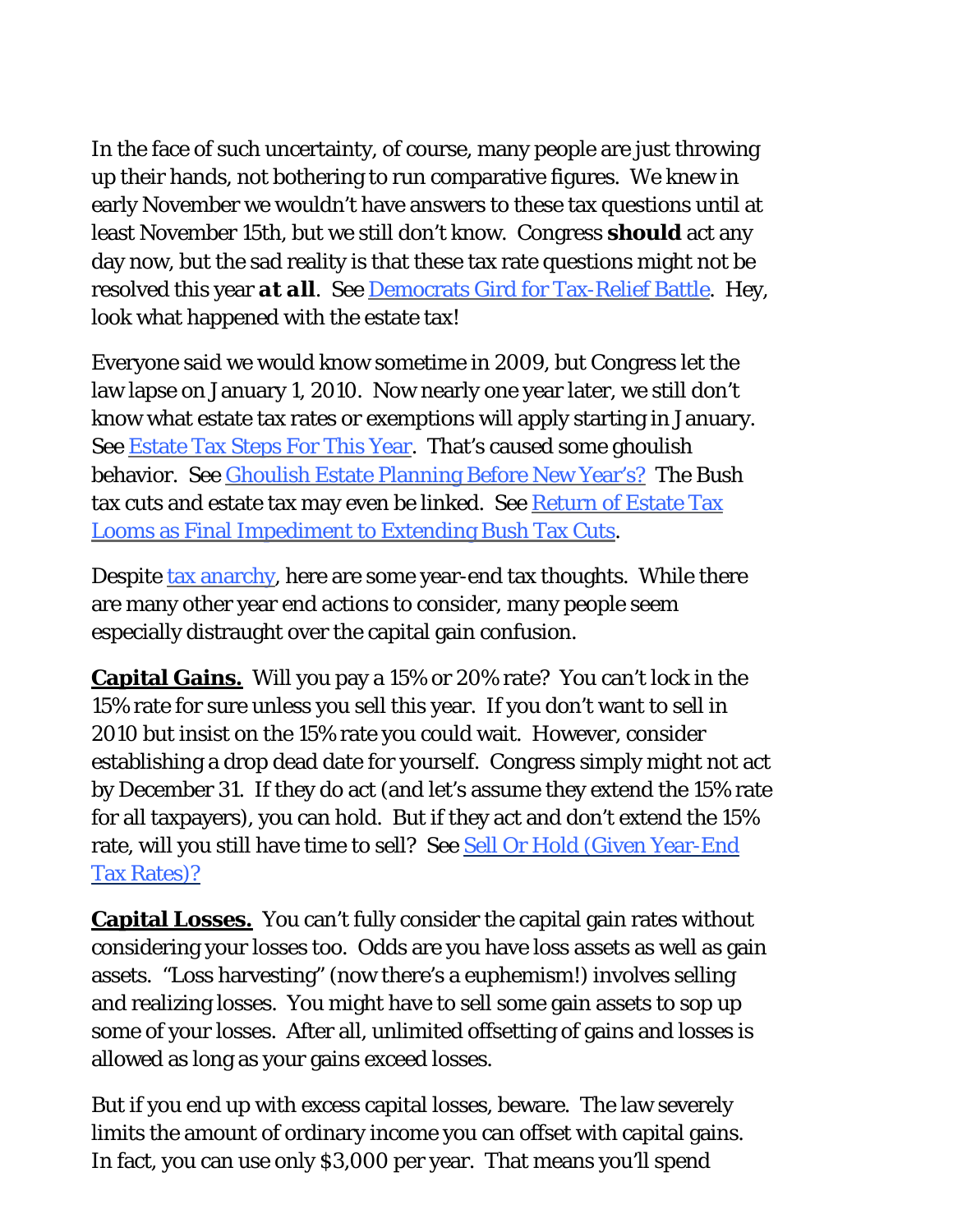In the face of such uncertainty, of course, many people are just throwing up their hands, not bothering to run comparative figures. We knew in early November we wouldn't have answers to these tax questions until at least November 15th, but we still don't know. Congress *should* act any day now, but the sad reality is that these tax rate questions might not be resolved this year *at all*. See [Democrats Gird for Tax-Relief Battle.](http://online.wsj.com/article/SB10001424052748703785704575643070454688564.html?mod=WSJ_topics_obama) Hey, look what happened with the estate tax!

Everyone said we would know sometime in 2009, but Congress let the law lapse on January 1, 2010. Now nearly one year later, we still don't know what estate tax rates or exemptions will apply starting in January. See [Estate Tax Steps For This Year](http://blogs.forbes.com/robertwood/2010/11/09/estate-tax-steps-for-this-year/). That's caused some ghoulish behavior. See [Ghoulish Estate Planning Before New Year's?](http://blogs.forbes.com/robertwood/2010/11/22/ghoulish-estate-planning-before-new-years/) The Bush tax cuts and estate tax may even be linked. See [Return of Estate Tax](http://www.bloomberg.com/news/2010-11-29/return-of-estate-tax-looms-as-final-impediment-to-extending-bush-tax-cuts.html) [Looms as Final Impediment to Extending Bush Tax Cuts](http://www.bloomberg.com/news/2010-11-29/return-of-estate-tax-looms-as-final-impediment-to-extending-bush-tax-cuts.html).

Despite [tax anarchy](http://blogs.forbes.com/robertwood/2010/11/10/patching-the-amt-means-less-anarchy/), here are some year-end tax thoughts. While there are many other year end actions to consider, many people seem especially distraught over the capital gain confusion.

**Capital Gains.** Will you pay a 15% or 20% rate? You can't lock in the 15% rate for sure unless you sell this year. If you don't want to sell in 2010 but insist on the 15% rate you could wait. However, consider establishing a drop dead date for yourself. Congress simply might not act by December 31. If they do act (and let's assume they extend the 15% rate for all taxpayers), you can hold. But if they act and don't extend the 15% rate, will you still have time to sell? See [Sell Or Hold \(Given Year-End](http://blogs.forbes.com/robertwood/2010/10/13/sell-or-hold-given-year-end-tax-rates/)  [Tax Rates\)?](http://blogs.forbes.com/robertwood/2010/10/13/sell-or-hold-given-year-end-tax-rates/)

**Capital Losses.** You can't fully consider the capital gain rates without considering your losses too. Odds are you have loss assets as well as gain assets. "Loss harvesting" (now there's a euphemism!) involves selling and realizing losses. You might have to sell some gain assets to sop up some of your losses. After all, unlimited offsetting of gains and losses is allowed as long as your gains exceed losses.

But if you end up with excess capital losses, beware. The law severely limits the amount of ordinary income you can offset with capital gains. In fact, you can use only \$3,000 per year. That means you'll spend